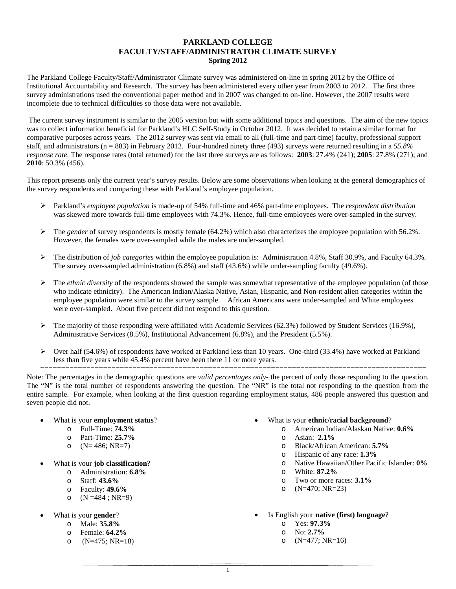## **PARKLAND COLLEGE FACULTY/STAFF/ADMINISTRATOR CLIMATE SURVEY Spring 2012**

The Parkland College Faculty/Staff/Administrator Climate survey was administered on-line in spring 2012 by the Office of Institutional Accountability and Research. The survey has been administered every other year from 2003 to 2012. The first three survey administrations used the conventional paper method and in 2007 was changed to on-line. However, the 2007 results were incomplete due to technical difficulties so those data were not available.

The current survey instrument is similar to the 2005 version but with some additional topics and questions. The aim of the new topics was to collect information beneficial for Parkland's HLC Self-Study in October 2012. It was decided to retain a similar format for comparative purposes across years. The 2012 survey was sent via email to all (full-time and part-time) faculty, professional support staff, and administrators (n = 883) in February 2012. Four-hundred ninety three (493) surveys were returned resulting in a *55.8% response rate*. The response rates (total returned) for the last three surveys are as follows: **2003**: 27.4% (241); **2005**: 27.8% (271); and **2010**: 50.3% (456).

This report presents only the current year's survey results. Below are some observations when looking at the general demographics of the survey respondents and comparing these with Parkland's employee population.

- Parkland's *employee population* is made-up of 54% full-time and 46% part-time employees. The *respondent distribution* was skewed more towards full-time employees with 74.3%. Hence, full-time employees were over-sampled in the survey.
- The *gender* of survey respondents is mostly female (64.2%) which also characterizes the employee population with 56.2%. However, the females were over-sampled while the males are under-sampled.
- The distribution of *job categories* within the employee population is: Administration 4.8%, Staff 30.9%, and Faculty 64.3%. The survey over-sampled administration (6.8%) and staff (43.6%) while under-sampling faculty (49.6%).
- $\triangleright$  The *ethnic diversity* of the respondents showed the sample was somewhat representative of the employee population (of those who indicate ethnicity). The American Indian/Alaska Native, Asian, Hispanic, and Non-resident alien categories within the employee population were similar to the survey sample. African Americans were under-sampled and White employees were over-sampled. About five percent did not respond to this question.
- $\triangleright$  The majority of those responding were affiliated with Academic Services (62.3%) followed by Student Services (16.9%), Administrative Services (8.5%), Institutional Advancement (6.8%), and the President (5.5%).
- $\triangleright$  Over half (54.6%) of respondents have worked at Parkland less than 10 years. One-third (33.4%) have worked at Parkland less than five years while 45.4% percent have been there 11 or more years.

============================================================================================ Note: The percentages in the demographic questions are *valid percentages only-* the percent of only those responding to the question. The "N" is the total number of respondents answering the question. The "NR" is the total not responding to the question from the entire sample. For example, when looking at the first question regarding employment status, 486 people answered this question and seven people did not.

- What is your **employment status**?
	- o Full-Time: **74.3%**
	- o Part-Time: **25.7%**
	- o  $(N= 486; NR=7)$
- What is your **job classification**?
	- o Administration: **6.8%**
	- o Staff: **43.6%**
	- o Faculty: **49.6%**
	- o  $(N = 484 ; NR = 9)$
- What is your **gender**?
	- o Male: **35.8%**
	- o Female: **64.2%**
	- o  $(N=475; NR=18)$
- What is your **ethnic/racial background**?
	- o American Indian/Alaskan Native: **0.6%**
	- o Asian: **2.1%**
	- o Black/African American: **5.7%**
	- o Hispanic of any race: **1.3%**
	- o Native Hawaiian/Other Pacific Islander: **0%**
	- o White: **87.2%**
	- o Two or more races: **3.1%**
	- o  $(N=470; NR=23)$
- Is English your **native (first) language**?
	- $\frac{\text{V}}{\text{O}}$  Yes: **97.3%**
	- No: 2.7%
	- o (N=477; NR=16)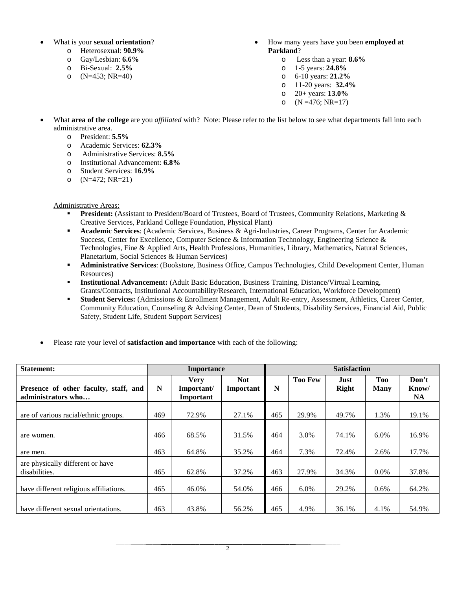- What is your **sexual orientation**?
	- o Heterosexual: **90.9%**
	- o Gay/Lesbian: **6.6%**
	- o Bi-Sexual: **2.5%**
	- o  $(N=453; NR=40)$
- How many years have you been **employed at Parkland**?
	- o Less than a year: **8.6%**
	- o 1-5 years: **24.8%**
	- o 6-10 years: **21.2%**
	- o 11-20 years: **32.4%**
	- o 20+ years: **13.0%**
	- o  $(N = 476; NR = 17)$
- What **area of the college** are you *affiliated* with? Note: Please refer to the list below to see what departments fall into each administrative area.
	- o President: **5.5%**
	- o Academic Services: **62.3%**
	- Administrative Services: **8.5%**
	- o Institutional Advancement: **6.8%**
	- o Student Services: **16.9%**
	- o (N=472; NR=21)

Administrative Areas:

- **President:** (Assistant to President/Board of Trustees, Board of Trustees, Community Relations, Marketing & Creative Services, Parkland College Foundation, Physical Plant)
- **Academic Services**: (Academic Services, Business & Agri-Industries, Career Programs, Center for Academic Success, Center for Excellence, Computer Science & Information Technology, Engineering Science & Technologies, Fine & Applied Arts, Health Professions, Humanities, Library, Mathematics, Natural Sciences, Planetarium, Social Sciences & Human Services)
- **Administrative Services**: (Bookstore, Business Office, Campus Technologies, Child Development Center, Human Resources)
- **Institutional Advancement:** (Adult Basic Education, Business Training, Distance/Virtual Learning, Grants/Contracts, Institutional Accountability/Research, International Education, Workforce Development)
- **Student Services:** (Admissions & Enrollment Management, Adult Re-entry, Assessment, Athletics, Career Center, Community Education, Counseling & Advising Center, Dean of Students, Disability Services, Financial Aid, Public Safety, Student Life, Student Support Services)
- Please rate your level of **satisfaction and importance** with each of the following:

| <b>Statement:</b>                                           |     | <b>Importance</b>                      |                         | <b>Satisfaction</b> |                |                      |                           |                             |  |
|-------------------------------------------------------------|-----|----------------------------------------|-------------------------|---------------------|----------------|----------------------|---------------------------|-----------------------------|--|
| Presence of other faculty, staff, and<br>administrators who | N   | <b>Verv</b><br>Important/<br>Important | <b>Not</b><br>Important | N                   | <b>Too Few</b> | Just<br><b>Right</b> | <b>Too</b><br><b>Many</b> | Don't<br>Know/<br><b>NA</b> |  |
| are of various racial/ethnic groups.                        | 469 | 72.9%                                  | 27.1%                   | 465                 | 29.9%          | 49.7%                | 1.3%                      | 19.1%                       |  |
| are women.                                                  | 466 | 68.5%                                  | 31.5%                   | 464                 | 3.0%           | 74.1%                | 6.0%                      | 16.9%                       |  |
| are men.                                                    | 463 | 64.8%                                  | 35.2%                   | 464                 | 7.3%           | 72.4%                | 2.6%                      | 17.7%                       |  |
| are physically different or have<br>disabilities.           | 465 | 62.8%                                  | 37.2%                   | 463                 | 27.9%          | 34.3%                | $0.0\%$                   | 37.8%                       |  |
| have different religious affiliations.                      | 465 | 46.0%                                  | 54.0%                   | 466                 | $6.0\%$        | 29.2%                | $0.6\%$                   | 64.2%                       |  |
| have different sexual orientations.                         | 463 | 43.8%                                  | 56.2%                   | 465                 | 4.9%           | 36.1%                | 4.1%                      | 54.9%                       |  |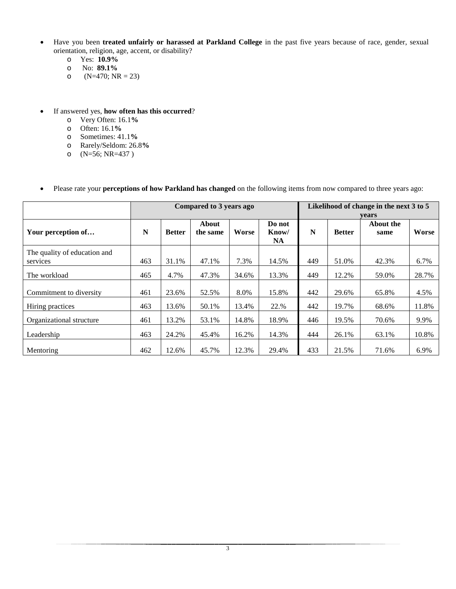- Have you been **treated unfairly or harassed at Parkland College** in the past five years because of race, gender, sexual orientation, religion, age, accent, or disability?
	- o Yes: **10.9%**
	- o No: **89.1%**
	- $(N=470; NR = 23)$
- If answered yes, **how often has this occurred**?
	- o Very Often: 16.1**%**
	- o Often: 16.1**%**
	- o Sometimes: 41.1**%**
	- o Rarely/Seldom: 26.8**%**
	- o (N=56; NR=437 )

## • Please rate your **perceptions of how Parkland has changed** on the following items from now compared to three years ago:

|                                          |     |               | Compared to 3 years ago |       |                              | Likelihood of change in the next 3 to 5<br>vears |               |                   |       |  |
|------------------------------------------|-----|---------------|-------------------------|-------|------------------------------|--------------------------------------------------|---------------|-------------------|-------|--|
| Your perception of                       | N   | <b>Better</b> | About<br>the same       | Worse | Do not<br>Know/<br><b>NA</b> | N                                                | <b>Better</b> | About the<br>same | Worse |  |
| The quality of education and<br>services | 463 | 31.1%         | 47.1%                   | 7.3%  | 14.5%                        | 449                                              | 51.0%         | 42.3%             | 6.7%  |  |
| The workload                             | 465 | 4.7%          | 47.3%                   | 34.6% | 13.3%                        | 449                                              | 12.2%         | 59.0%             | 28.7% |  |
| Commitment to diversity                  | 461 | 23.6%         | 52.5%                   | 8.0%  | 15.8%                        | 442                                              | 29.6%         | 65.8%             | 4.5%  |  |
| Hiring practices                         | 463 | 13.6%         | 50.1%                   | 13.4% | 22.%                         | 442                                              | 19.7%         | 68.6%             | 11.8% |  |
| Organizational structure                 | 461 | 13.2%         | 53.1%                   | 14.8% | 18.9%                        | 446                                              | 19.5%         | 70.6%             | 9.9%  |  |
| Leadership                               | 463 | 24.2%         | 45.4%                   | 16.2% | 14.3%                        | 444                                              | 26.1%         | 63.1%             | 10.8% |  |
| Mentoring                                | 462 | 12.6%         | 45.7%                   | 12.3% | 29.4%                        | 433                                              | 21.5%         | 71.6%             | 6.9%  |  |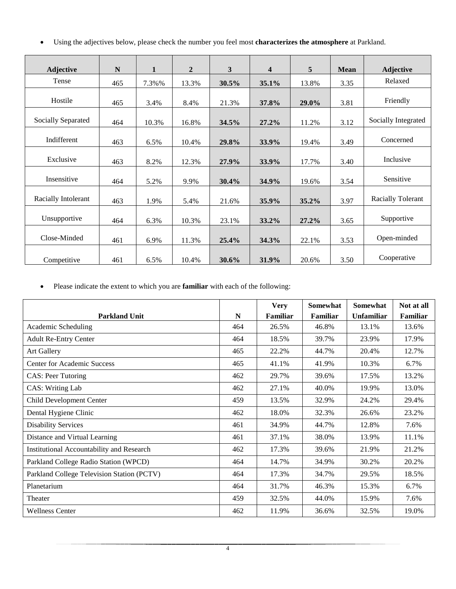• Using the adjectives below, please check the number you feel most **characterizes the atmosphere** at Parkland.

| <b>Adjective</b>    | $\mathbf N$ | $\mathbf{1}$ | $\overline{2}$ | $\mathbf{3}$ | 4     | 5     | <b>Mean</b> | <b>Adjective</b>         |
|---------------------|-------------|--------------|----------------|--------------|-------|-------|-------------|--------------------------|
| Tense               | 465         | 7.3%%        | 13.3%          | 30.5%        | 35.1% | 13.8% | 3.35        | Relaxed                  |
| Hostile             | 465         | 3.4%         | 8.4%           | 21.3%        | 37.8% | 29.0% | 3.81        | Friendly                 |
| Socially Separated  | 464         | 10.3%        | 16.8%          | 34.5%        | 27.2% | 11.2% | 3.12        | Socially Integrated      |
| Indifferent         | 463         | 6.5%         | 10.4%          | 29.8%        | 33.9% | 19.4% | 3.49        | Concerned                |
| Exclusive           | 463         | 8.2%         | 12.3%          | 27.9%        | 33.9% | 17.7% | 3.40        | Inclusive                |
| Insensitive         | 464         | 5.2%         | 9.9%           | 30.4%        | 34.9% | 19.6% | 3.54        | Sensitive                |
| Racially Intolerant | 463         | 1.9%         | 5.4%           | 21.6%        | 35.9% | 35.2% | 3.97        | <b>Racially Tolerant</b> |
| Unsupportive        | 464         | 6.3%         | 10.3%          | 23.1%        | 33.2% | 27.2% | 3.65        | Supportive               |
| Close-Minded        | 461         | 6.9%         | 11.3%          | 25.4%        | 34.3% | 22.1% | 3.53        | Open-minded              |
| Competitive         | 461         | 6.5%         | 10.4%          | 30.6%        | 31.9% | 20.6% | 3.50        | Cooperative              |

• Please indicate the extent to which you are **familiar** with each of the following:

| <b>Parkland Unit</b>                       | N   | <b>Very</b><br>Familiar | Somewhat<br>Familiar | Somewhat<br><b>Unfamiliar</b> | Not at all<br>Familiar |
|--------------------------------------------|-----|-------------------------|----------------------|-------------------------------|------------------------|
| Academic Scheduling                        | 464 | 26.5%                   | 46.8%                | 13.1%                         | 13.6%                  |
| <b>Adult Re-Entry Center</b>               | 464 | 18.5%                   | 39.7%                | 23.9%                         | 17.9%                  |
| <b>Art Gallery</b>                         | 465 | 22.2%                   | 44.7%                | 20.4%                         | 12.7%                  |
| <b>Center for Academic Success</b>         | 465 | 41.1%                   | 41.9%                | 10.3%                         | 6.7%                   |
| <b>CAS</b> : Peer Tutoring                 | 462 | 29.7%                   | 39.6%                | 17.5%                         | 13.2%                  |
| <b>CAS: Writing Lab</b>                    | 462 | 27.1%                   | 40.0%                | 19.9%                         | 13.0%                  |
| Child Development Center                   | 459 | 13.5%                   | 32.9%                | 24.2%                         | 29.4%                  |
| Dental Hygiene Clinic                      | 462 | 18.0%                   | 32.3%                | 26.6%                         | 23.2%                  |
| <b>Disability Services</b>                 | 461 | 34.9%                   | 44.7%                | 12.8%                         | 7.6%                   |
| Distance and Virtual Learning              | 461 | 37.1%                   | 38.0%                | 13.9%                         | 11.1%                  |
| Institutional Accountability and Research  | 462 | 17.3%                   | 39.6%                | 21.9%                         | 21.2%                  |
| Parkland College Radio Station (WPCD)      | 464 | 14.7%                   | 34.9%                | 30.2%                         | 20.2%                  |
| Parkland College Television Station (PCTV) | 464 | 17.3%                   | 34.7%                | 29.5%                         | 18.5%                  |
| Planetarium                                | 464 | 31.7%                   | 46.3%                | 15.3%                         | 6.7%                   |
| Theater                                    | 459 | 32.5%                   | 44.0%                | 15.9%                         | 7.6%                   |
| <b>Wellness Center</b>                     | 462 | 11.9%                   | 36.6%                | 32.5%                         | 19.0%                  |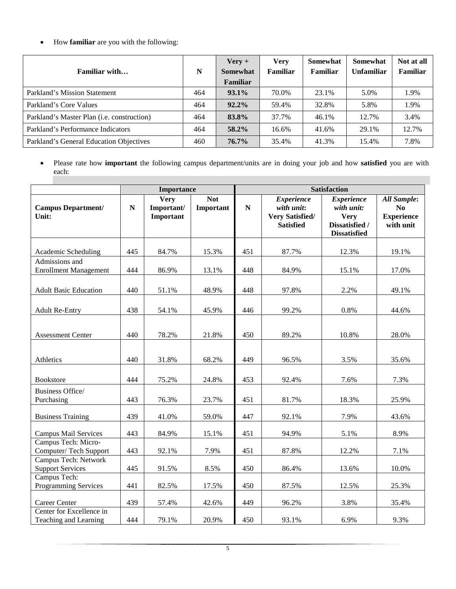• How **familiar** are you with the following:

| Familiar with                                      | N   | $\text{Verv} +$<br>Somewhat<br>Familiar | <b>Very</b><br>Familiar | <b>Somewhat</b><br><b>Familiar</b> | <b>Somewhat</b><br><b>Unfamiliar</b> | Not at all<br>Familiar |
|----------------------------------------------------|-----|-----------------------------------------|-------------------------|------------------------------------|--------------------------------------|------------------------|
| Parkland's Mission Statement                       | 464 | $93.1\%$                                | 70.0%                   | 23.1%                              | 5.0%                                 | 1.9%                   |
| Parkland's Core Values                             | 464 | $92.2\%$                                | 59.4%                   | 32.8%                              | 5.8%                                 | 1.9%                   |
| Parkland's Master Plan ( <i>i.e.</i> construction) | 464 | 83.8%                                   | 37.7%                   | 46.1%                              | 12.7%                                | 3.4%                   |
| Parkland's Performance Indicators                  | 464 | $58.2\%$                                | 16.6%                   | 41.6%                              | 29.1%                                | 12.7%                  |
| Parkland's General Education Objectives            | 460 | $76.7\%$                                | 35.4%                   | 41.3%                              | 15.4%                                | 7.8%                   |

• Please rate how **important** the following campus department/units are in doing your job and how **satisfied** you are with each:

|                                                   |           | Importance                             |                         |     |                                                                               | <b>Satisfaction</b>                                                                     |                                                                        |
|---------------------------------------------------|-----------|----------------------------------------|-------------------------|-----|-------------------------------------------------------------------------------|-----------------------------------------------------------------------------------------|------------------------------------------------------------------------|
| <b>Campus Department/</b><br>Unit:                | ${\bf N}$ | <b>Very</b><br>Important/<br>Important | <b>Not</b><br>Important | N   | <b>Experience</b><br>with unit:<br><b>Very Satisfied/</b><br><b>Satisfied</b> | <b>Experience</b><br>with unit:<br><b>Very</b><br>Dissatisfied /<br><b>Dissatisfied</b> | <b>All Sample:</b><br>N <sub>0</sub><br><b>Experience</b><br>with unit |
| Academic Scheduling                               | 445       | 84.7%                                  | 15.3%                   | 451 | 87.7%                                                                         | 12.3%                                                                                   | 19.1%                                                                  |
| Admissions and<br><b>Enrollment Management</b>    | 444       | 86.9%                                  | 13.1%                   | 448 | 84.9%                                                                         | 15.1%                                                                                   | 17.0%                                                                  |
| <b>Adult Basic Education</b>                      | 440       | 51.1%                                  | 48.9%                   | 448 | 97.8%                                                                         | 2.2%                                                                                    | 49.1%                                                                  |
| <b>Adult Re-Entry</b>                             | 438       | 54.1%                                  | 45.9%                   | 446 | 99.2%                                                                         | 0.8%                                                                                    | 44.6%                                                                  |
| <b>Assessment Center</b>                          | 440       | 78.2%                                  | 21.8%                   | 450 | 89.2%                                                                         | 10.8%                                                                                   | 28.0%                                                                  |
| Athletics                                         | 440       | 31.8%                                  | 68.2%                   | 449 | 96.5%                                                                         | 3.5%                                                                                    | 35.6%                                                                  |
| <b>Bookstore</b>                                  | 444       | 75.2%                                  | 24.8%                   | 453 | 92.4%                                                                         | 7.6%                                                                                    | 7.3%                                                                   |
| <b>Business Office/</b><br>Purchasing             | 443       | 76.3%                                  | 23.7%                   | 451 | 81.7%                                                                         | 18.3%                                                                                   | 25.9%                                                                  |
| <b>Business Training</b>                          | 439       | 41.0%                                  | 59.0%                   | 447 | 92.1%                                                                         | 7.9%                                                                                    | 43.6%                                                                  |
| <b>Campus Mail Services</b>                       | 443       | 84.9%                                  | 15.1%                   | 451 | 94.9%                                                                         | 5.1%                                                                                    | 8.9%                                                                   |
| Campus Tech: Micro-<br>Computer/Tech Support      | 443       | 92.1%                                  | 7.9%                    | 451 | 87.8%                                                                         | 12.2%                                                                                   | 7.1%                                                                   |
| Campus Tech: Network<br><b>Support Services</b>   | 445       | 91.5%                                  | 8.5%                    | 450 | 86.4%                                                                         | 13.6%                                                                                   | 10.0%                                                                  |
| Campus Tech:<br><b>Programming Services</b>       | 441       | 82.5%                                  | 17.5%                   | 450 | 87.5%                                                                         | 12.5%                                                                                   | 25.3%                                                                  |
| <b>Career Center</b>                              | 439       | 57.4%                                  | 42.6%                   | 449 | 96.2%                                                                         | 3.8%                                                                                    | 35.4%                                                                  |
| Center for Excellence in<br>Teaching and Learning | 444       | 79.1%                                  | 20.9%                   | 450 | 93.1%                                                                         | 6.9%                                                                                    | 9.3%                                                                   |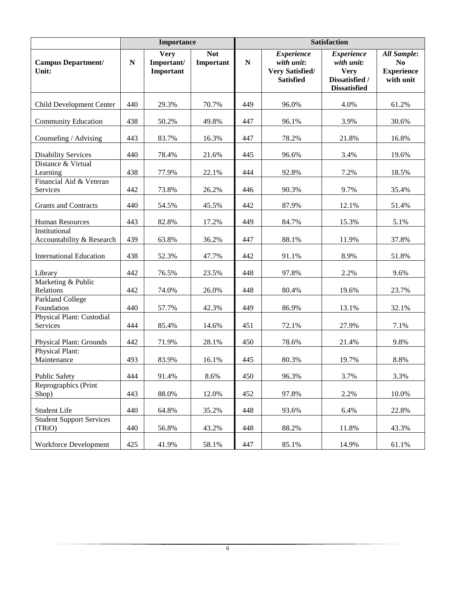|                                            |           | <b>Importance</b>                      |                         | <b>Satisfaction</b> |                                                                               |                                                                                         |                                                                        |  |  |  |
|--------------------------------------------|-----------|----------------------------------------|-------------------------|---------------------|-------------------------------------------------------------------------------|-----------------------------------------------------------------------------------------|------------------------------------------------------------------------|--|--|--|
| <b>Campus Department/</b><br>Unit:         | ${\bf N}$ | <b>Very</b><br>Important/<br>Important | <b>Not</b><br>Important | $\mathbf N$         | <b>Experience</b><br>with unit:<br><b>Very Satisfied/</b><br><b>Satisfied</b> | <b>Experience</b><br>with unit:<br><b>Very</b><br>Dissatisfied /<br><b>Dissatisfied</b> | <b>All Sample:</b><br>N <sub>0</sub><br><b>Experience</b><br>with unit |  |  |  |
| Child Development Center                   | 440       | 29.3%                                  | 70.7%                   | 449                 | 96.0%                                                                         | 4.0%                                                                                    | 61.2%                                                                  |  |  |  |
| <b>Community Education</b>                 | 438       | 50.2%                                  | 49.8%                   | 447                 | 96.1%                                                                         | 3.9%                                                                                    | 30.6%                                                                  |  |  |  |
| Counseling / Advising                      | 443       | 83.7%                                  | 16.3%                   | 447                 | 78.2%                                                                         | 21.8%                                                                                   | 16.8%                                                                  |  |  |  |
| <b>Disability Services</b>                 | 440       | 78.4%                                  | 21.6%                   | 445                 | 96.6%                                                                         | 3.4%                                                                                    | 19.6%                                                                  |  |  |  |
| Distance & Virtual<br>Learning             | 438       | 77.9%                                  | 22.1%                   | 444                 | 92.8%                                                                         | 7.2%                                                                                    | 18.5%                                                                  |  |  |  |
| Financial Aid & Veteran<br>Services        | 442       | 73.8%                                  | 26.2%                   | 446                 | 90.3%                                                                         | 9.7%                                                                                    | 35.4%                                                                  |  |  |  |
| <b>Grants and Contracts</b>                | 440       | 54.5%                                  | 45.5%                   | 442                 | 87.9%                                                                         | 12.1%                                                                                   | 51.4%                                                                  |  |  |  |
| <b>Human Resources</b>                     | 443       | 82.8%                                  | 17.2%                   | 449                 | 84.7%                                                                         | 15.3%                                                                                   | 5.1%                                                                   |  |  |  |
| Institutional<br>Accountability & Research | 439       | 63.8%                                  | 36.2%                   | 447                 | 88.1%                                                                         | 11.9%                                                                                   | 37.8%                                                                  |  |  |  |
| <b>International Education</b>             | 438       | 52.3%                                  | 47.7%                   | 442                 | 91.1%                                                                         | 8.9%                                                                                    | 51.8%                                                                  |  |  |  |
| Library                                    | 442       | 76.5%                                  | 23.5%                   | 448                 | 97.8%                                                                         | 2.2%                                                                                    | 9.6%                                                                   |  |  |  |
| Marketing & Public<br>Relations            | 442       | 74.0%                                  | 26.0%                   | 448                 | 80.4%                                                                         | 19.6%                                                                                   | 23.7%                                                                  |  |  |  |
| <b>Parkland College</b><br>Foundation      | 440       | 57.7%                                  | 42.3%                   | 449                 | 86.9%                                                                         | 13.1%                                                                                   | 32.1%                                                                  |  |  |  |
| Physical Plant: Custodial<br>Services      | 444       | 85.4%                                  | 14.6%                   | 451                 | 72.1%                                                                         | 27.9%                                                                                   | 7.1%                                                                   |  |  |  |
| <b>Physical Plant: Grounds</b>             | 442       | 71.9%                                  | 28.1%                   | 450                 | 78.6%                                                                         | 21.4%                                                                                   | 9.8%                                                                   |  |  |  |
| Physical Plant:<br>Maintenance             | 493       | 83.9%                                  | 16.1%                   | 445                 | 80.3%                                                                         | 19.7%                                                                                   | 8.8%                                                                   |  |  |  |
| <b>Public Safety</b>                       | 444       | 91.4%                                  | 8.6%                    | 450                 | 96.3%                                                                         | 3.7%                                                                                    | 3.3%                                                                   |  |  |  |
| Reprographics (Print<br>Shop)              | 443       | 88.0%                                  | 12.0%                   | 452                 | 97.8%                                                                         | 2.2%                                                                                    | 10.0%                                                                  |  |  |  |
| Student Life                               | 440       | 64.8%                                  | 35.2%                   | 448                 | 93.6%                                                                         | 6.4%                                                                                    | 22.8%                                                                  |  |  |  |
| <b>Student Support Services</b><br>(TRiO)  | 440       | 56.8%                                  | 43.2%                   | 448                 | 88.2%                                                                         | 11.8%                                                                                   | 43.3%                                                                  |  |  |  |
| Workforce Development                      | 425       | 41.9%                                  | 58.1%                   | 447                 | 85.1%                                                                         | 14.9%                                                                                   | 61.1%                                                                  |  |  |  |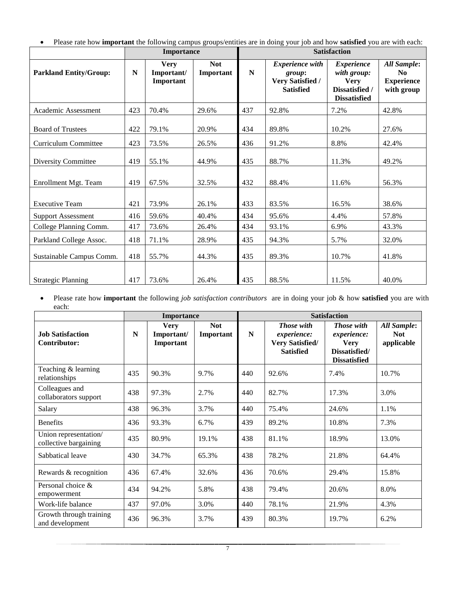• Please rate how **important** the following campus groups/entities are in doing your job and how **satisfied** you are with each:

|                               |     | <b>Importance</b>                      |                         | <b>Satisfaction</b> |                                                                                 |                                                                                          |                                                                         |  |  |
|-------------------------------|-----|----------------------------------------|-------------------------|---------------------|---------------------------------------------------------------------------------|------------------------------------------------------------------------------------------|-------------------------------------------------------------------------|--|--|
| <b>Parkland Entity/Group:</b> | N   | <b>Very</b><br>Important/<br>Important | <b>Not</b><br>Important | ${\bf N}$           | <b>Experience</b> with<br>group:<br><b>Very Satisfied /</b><br><b>Satisfied</b> | <b>Experience</b><br>with group:<br><b>Very</b><br>Dissatisfied /<br><b>Dissatisfied</b> | <b>All Sample:</b><br>N <sub>0</sub><br><b>Experience</b><br>with group |  |  |
| Academic Assessment           | 423 | 70.4%                                  | 29.6%                   | 437                 | 92.8%                                                                           | 7.2%                                                                                     | 42.8%                                                                   |  |  |
| <b>Board of Trustees</b>      | 422 | 79.1%                                  | 20.9%                   | 434                 | 89.8%                                                                           | 10.2%                                                                                    | 27.6%                                                                   |  |  |
| Curriculum Committee          | 423 | 73.5%                                  | 26.5%                   | 436                 | 91.2%                                                                           | 8.8%                                                                                     | 42.4%                                                                   |  |  |
| <b>Diversity Committee</b>    | 419 | 55.1%                                  | 44.9%                   | 435                 | 88.7%                                                                           | 11.3%                                                                                    | 49.2%                                                                   |  |  |
| Enrollment Mgt. Team          | 419 | 67.5%                                  | 32.5%                   | 432                 | 88.4%                                                                           | 11.6%                                                                                    | 56.3%                                                                   |  |  |
| <b>Executive Team</b>         | 421 | 73.9%                                  | 26.1%                   | 433                 | 83.5%                                                                           | 16.5%                                                                                    | 38.6%                                                                   |  |  |
| <b>Support Assessment</b>     | 416 | 59.6%                                  | 40.4%                   | 434                 | 95.6%                                                                           | 4.4%                                                                                     | 57.8%                                                                   |  |  |
| College Planning Comm.        | 417 | 73.6%                                  | 26.4%                   | 434                 | 93.1%                                                                           | 6.9%                                                                                     | 43.3%                                                                   |  |  |
| Parkland College Assoc.       | 418 | 71.1%                                  | 28.9%                   | 435                 | 94.3%                                                                           | 5.7%                                                                                     | 32.0%                                                                   |  |  |
| Sustainable Campus Comm.      | 418 | 55.7%                                  | 44.3%                   | 435                 | 89.3%                                                                           | 10.7%                                                                                    | 41.8%                                                                   |  |  |
| <b>Strategic Planning</b>     | 417 | 73.6%                                  | 26.4%                   | 435                 | 88.5%                                                                           | 11.5%                                                                                    | 40.0%                                                                   |  |  |

• Please rate how **important** the following *job satisfaction contributors* are in doing your job & how **satisfied** you are with each:

|                                                |     | <b>Importance</b>                      |                         | <b>Satisfaction</b> |                                                                  |                                                                                         |                                         |  |
|------------------------------------------------|-----|----------------------------------------|-------------------------|---------------------|------------------------------------------------------------------|-----------------------------------------------------------------------------------------|-----------------------------------------|--|
| <b>Job Satisfaction</b><br>Contributor:        | N   | <b>Very</b><br>Important/<br>Important | <b>Not</b><br>Important | $\mathbf N$         | Those with<br>experience:<br>Very Satisfied/<br><b>Satisfied</b> | <b>Those</b> with<br>experience:<br><b>Very</b><br>Dissatisfied/<br><b>Dissatisfied</b> | All Sample:<br><b>Not</b><br>applicable |  |
| Teaching & learning<br>relationships           | 435 | 90.3%                                  | 9.7%                    | 440                 | 92.6%                                                            | 7.4%                                                                                    | 10.7%                                   |  |
| Colleagues and<br>collaborators support        | 438 | 97.3%                                  | 2.7%                    | 440                 | 82.7%                                                            | 17.3%                                                                                   | 3.0%                                    |  |
| Salary                                         | 438 | 96.3%                                  | 3.7%                    | 440                 | 75.4%                                                            | 24.6%                                                                                   | 1.1%                                    |  |
| <b>Benefits</b>                                | 436 | 93.3%                                  | 6.7%                    | 439                 | 89.2%                                                            | 10.8%                                                                                   | 7.3%                                    |  |
| Union representation/<br>collective bargaining | 435 | 80.9%                                  | 19.1%                   | 438                 | 81.1%                                                            | 18.9%                                                                                   | 13.0%                                   |  |
| Sabbatical leave                               | 430 | 34.7%                                  | 65.3%                   | 438                 | 78.2%                                                            | 21.8%                                                                                   | 64.4%                                   |  |
| Rewards & recognition                          | 436 | 67.4%                                  | 32.6%                   | 436                 | 70.6%                                                            | 29.4%                                                                                   | 15.8%                                   |  |
| Personal choice $\&$<br>empowerment            | 434 | 94.2%                                  | 5.8%                    | 438                 | 79.4%                                                            | 20.6%                                                                                   | 8.0%                                    |  |
| Work-life balance                              | 437 | 97.0%                                  | 3.0%                    | 440                 | 78.1%                                                            | 21.9%                                                                                   | 4.3%                                    |  |
| Growth through training<br>and development     | 436 | 96.3%                                  | 3.7%                    | 439                 | 80.3%                                                            | 19.7%                                                                                   | 6.2%                                    |  |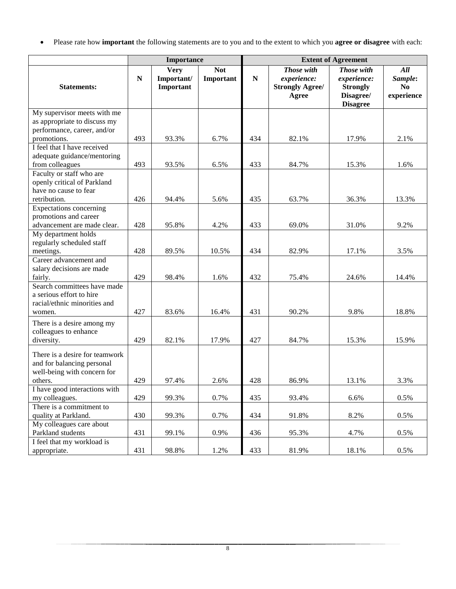• Please rate how **important** the following statements are to you and to the extent to which you **agree or disagree** with each:

|                                                                                             |             | Importance                             |                         | <b>Extent of Agreement</b> |                                                              |                                                                              |                                    |  |
|---------------------------------------------------------------------------------------------|-------------|----------------------------------------|-------------------------|----------------------------|--------------------------------------------------------------|------------------------------------------------------------------------------|------------------------------------|--|
| <b>Statements:</b>                                                                          | $\mathbf N$ | <b>Very</b><br>Important/<br>Important | <b>Not</b><br>Important | ${\bf N}$                  | Those with<br>experience:<br><b>Strongly Agree/</b><br>Agree | Those with<br>experience:<br><b>Strongly</b><br>Disagree/<br><b>Disagree</b> | All<br>Sample:<br>No<br>experience |  |
| My supervisor meets with me<br>as appropriate to discuss my                                 |             |                                        |                         |                            |                                                              |                                                                              |                                    |  |
| performance, career, and/or                                                                 |             |                                        |                         |                            |                                                              |                                                                              |                                    |  |
| promotions.                                                                                 | 493         | 93.3%                                  | 6.7%                    | 434                        | 82.1%                                                        | 17.9%                                                                        | 2.1%                               |  |
| I feel that I have received<br>adequate guidance/mentoring<br>from colleagues               | 493         | 93.5%                                  | 6.5%                    | 433                        | 84.7%                                                        | 15.3%                                                                        | 1.6%                               |  |
| Faculty or staff who are                                                                    |             |                                        |                         |                            |                                                              |                                                                              |                                    |  |
| openly critical of Parkland<br>have no cause to fear                                        |             |                                        |                         |                            |                                                              |                                                                              |                                    |  |
| retribution.                                                                                | 426         | 94.4%                                  | 5.6%                    | 435                        | 63.7%                                                        | 36.3%                                                                        | 13.3%                              |  |
| <b>Expectations</b> concerning<br>promotions and career                                     |             |                                        |                         |                            |                                                              |                                                                              |                                    |  |
| advancement are made clear.                                                                 | 428         | 95.8%                                  | 4.2%                    | 433                        | 69.0%                                                        | 31.0%                                                                        | 9.2%                               |  |
| My department holds                                                                         |             |                                        |                         |                            |                                                              |                                                                              |                                    |  |
| regularly scheduled staff                                                                   |             |                                        |                         |                            |                                                              |                                                                              |                                    |  |
| meetings.<br>Career advancement and                                                         | 428         | 89.5%                                  | 10.5%                   | 434                        | 82.9%                                                        | 17.1%                                                                        | 3.5%                               |  |
| salary decisions are made                                                                   |             |                                        |                         |                            |                                                              |                                                                              |                                    |  |
| fairly.                                                                                     | 429         | 98.4%                                  | 1.6%                    | 432                        | 75.4%                                                        | 24.6%                                                                        | 14.4%                              |  |
| Search committees have made<br>a serious effort to hire                                     |             |                                        |                         |                            |                                                              |                                                                              |                                    |  |
| racial/ethnic minorities and                                                                |             |                                        |                         |                            |                                                              |                                                                              |                                    |  |
| women.                                                                                      | 427         | 83.6%                                  | 16.4%                   | 431                        | 90.2%                                                        | 9.8%                                                                         | 18.8%                              |  |
| There is a desire among my<br>colleagues to enhance                                         |             |                                        |                         |                            |                                                              |                                                                              |                                    |  |
| diversity.                                                                                  | 429         | 82.1%                                  | 17.9%                   | 427                        | 84.7%                                                        | 15.3%                                                                        | 15.9%                              |  |
| There is a desire for teamwork<br>and for balancing personal<br>well-being with concern for |             |                                        |                         |                            |                                                              |                                                                              |                                    |  |
| others.                                                                                     | 429         | 97.4%                                  | 2.6%                    | 428                        | 86.9%                                                        | 13.1%                                                                        | 3.3%                               |  |
| I have good interactions with<br>my colleagues.                                             | 429         | 99.3%                                  | 0.7%                    | 435                        | 93.4%                                                        | 6.6%                                                                         | 0.5%                               |  |
| There is a commitment to                                                                    |             |                                        |                         |                            |                                                              |                                                                              |                                    |  |
| quality at Parkland.                                                                        | 430         | 99.3%                                  | 0.7%                    | 434                        | 91.8%                                                        | 8.2%                                                                         | 0.5%                               |  |
| My colleagues care about<br>Parkland students                                               | 431         | 99.1%                                  | 0.9%                    | 436                        | 95.3%                                                        | 4.7%                                                                         | 0.5%                               |  |
| I feel that my workload is<br>appropriate.                                                  | 431         | 98.8%                                  | 1.2%                    | 433                        | 81.9%                                                        | 18.1%                                                                        | 0.5%                               |  |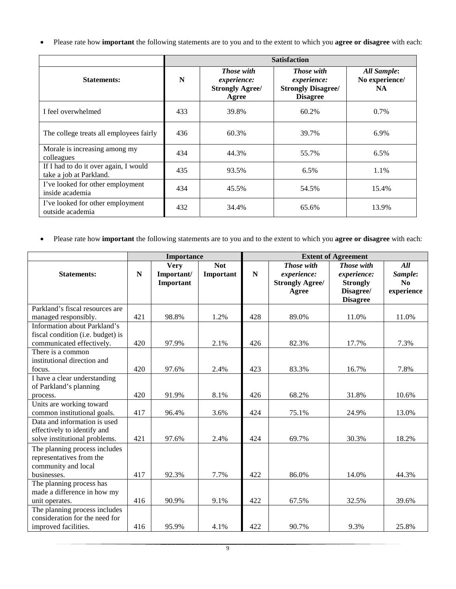• Please rate how **important** the following statements are to you and to the extent to which you **agree or disagree** with each:

|                                                                  |     |                                                                            | <b>Satisfaction</b>                                                       |                                      |
|------------------------------------------------------------------|-----|----------------------------------------------------------------------------|---------------------------------------------------------------------------|--------------------------------------|
| <b>Statements:</b>                                               | N   | <b>Those with</b><br><i>experience:</i><br><b>Strongly Agree/</b><br>Agree | Those with<br>experience:<br><b>Strongly Disagree/</b><br><b>Disagree</b> | All Sample:<br>No experience/<br>NA. |
| I feel overwhelmed                                               | 433 | 39.8%                                                                      | 60.2%                                                                     | 0.7%                                 |
| The college treats all employees fairly                          | 436 | 60.3%                                                                      | 39.7%                                                                     | 6.9%                                 |
| Morale is increasing among my<br>colleagues                      | 434 | 44.3%                                                                      | 55.7%                                                                     | 6.5%                                 |
| If I had to do it over again, I would<br>take a job at Parkland. | 435 | 93.5%                                                                      | 6.5%                                                                      | 1.1%                                 |
| I've looked for other employment<br>inside academia              | 434 | 45.5%                                                                      | 54.5%                                                                     | 15.4%                                |
| I've looked for other employment<br>outside academia             | 432 | 34.4%                                                                      | 65.6%                                                                     | 13.9%                                |

• Please rate how **important** the following statements are to you and to the extent to which you **agree or disagree** with each:

|                                                                                                           |             | <b>Importance</b>                      |                         | <b>Extent of Agreement</b> |                                                              |                                                                                     |                                    |  |  |
|-----------------------------------------------------------------------------------------------------------|-------------|----------------------------------------|-------------------------|----------------------------|--------------------------------------------------------------|-------------------------------------------------------------------------------------|------------------------------------|--|--|
| <b>Statements:</b>                                                                                        | $\mathbf N$ | <b>Very</b><br>Important/<br>Important | <b>Not</b><br>Important | ${\bf N}$                  | Those with<br>experience:<br><b>Strongly Agree/</b><br>Agree | <b>Those with</b><br>experience:<br><b>Strongly</b><br>Disagree/<br><b>Disagree</b> | All<br>Sample:<br>No<br>experience |  |  |
| Parkland's fiscal resources are<br>managed responsibly.                                                   | 421         | 98.8%                                  | 1.2%                    | 428                        | 89.0%                                                        | 11.0%                                                                               | 11.0%                              |  |  |
| <b>Information about Parkland's</b><br>fiscal condition (i.e. budget) is<br>communicated effectively.     | 420         | 97.9%                                  | 2.1%                    | 426                        | 82.3%                                                        | 17.7%                                                                               | 7.3%                               |  |  |
| There is a common<br>institutional direction and<br>focus.                                                | 420         | 97.6%                                  | 2.4%                    | 423                        | 83.3%                                                        | 16.7%                                                                               | 7.8%                               |  |  |
| I have a clear understanding<br>of Parkland's planning<br>process.                                        | 420         | 91.9%                                  | 8.1%                    | 426                        | 68.2%                                                        | 31.8%                                                                               | 10.6%                              |  |  |
| Units are working toward<br>common institutional goals.                                                   | 417         | 96.4%                                  | 3.6%                    | 424                        | 75.1%                                                        | 24.9%                                                                               | 13.0%                              |  |  |
| Data and information is used<br>effectively to identify and<br>solve institutional problems.              | 421         | 97.6%                                  | 2.4%                    | 424                        | 69.7%                                                        | 30.3%                                                                               | 18.2%                              |  |  |
| The planning process includes<br>representatives from the<br>community and local<br>businesses.           | 417         | 92.3%                                  | 7.7%                    | 422                        | 86.0%                                                        | 14.0%                                                                               | 44.3%                              |  |  |
| The planning process has<br>made a difference in how my                                                   |             |                                        |                         |                            |                                                              |                                                                                     |                                    |  |  |
| unit operates.<br>The planning process includes<br>consideration for the need for<br>improved facilities. | 416<br>416  | 90.9%<br>95.9%                         | 9.1%<br>4.1%            | 422<br>422                 | 67.5%<br>90.7%                                               | 32.5%<br>9.3%                                                                       | 39.6%<br>25.8%                     |  |  |